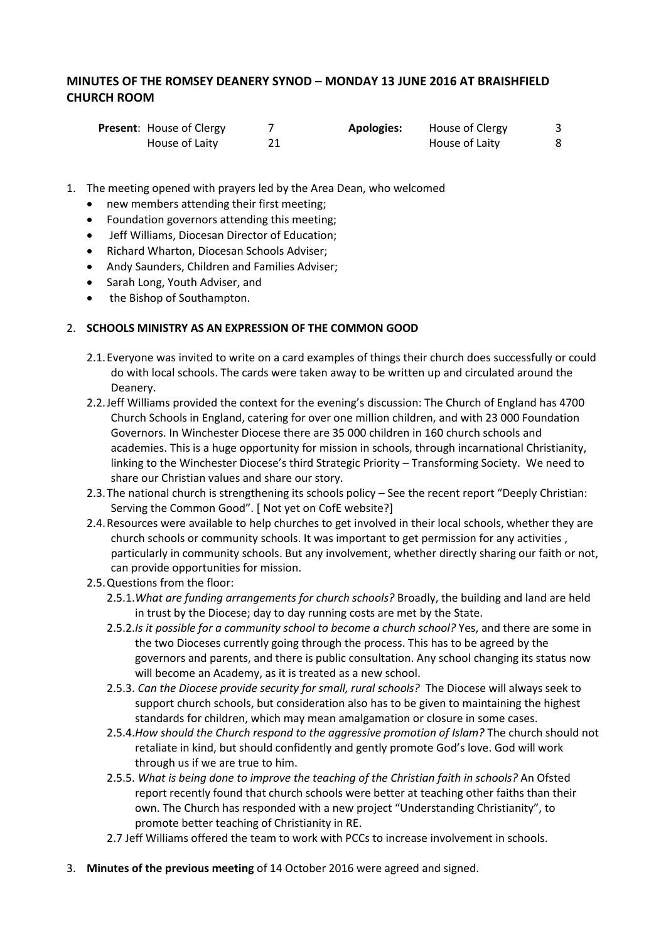# **MINUTES OF THE ROMSEY DEANERY SYNOD – MONDAY 13 JUNE 2016 AT BRAISHFIELD CHURCH ROOM**

| <b>Present:</b> House of Clergy | <b>Apologies:</b> | House of Clergy |  |
|---------------------------------|-------------------|-----------------|--|
| House of Laity                  |                   | House of Laity  |  |

- 1. The meeting opened with prayers led by the Area Dean, who welcomed
	- new members attending their first meeting;
	- Foundation governors attending this meeting;
	- Jeff Williams, Diocesan Director of Education;
	- Richard Wharton, Diocesan Schools Adviser;
	- Andy Saunders, Children and Families Adviser;
	- Sarah Long, Youth Adviser, and
	- the Bishop of Southampton.

#### 2. **SCHOOLS MINISTRY AS AN EXPRESSION OF THE COMMON GOOD**

- 2.1.Everyone was invited to write on a card examples of things their church does successfully or could do with local schools. The cards were taken away to be written up and circulated around the Deanery.
- 2.2.Jeff Williams provided the context for the evening's discussion: The Church of England has 4700 Church Schools in England, catering for over one million children, and with 23 000 Foundation Governors. In Winchester Diocese there are 35 000 children in 160 church schools and academies. This is a huge opportunity for mission in schools, through incarnational Christianity, linking to the Winchester Diocese's third Strategic Priority – Transforming Society. We need to share our Christian values and share our story.
- 2.3.The national church is strengthening its schools policy See the recent report "Deeply Christian: Serving the Common Good". [ Not yet on CofE website?]
- 2.4.Resources were available to help churches to get involved in their local schools, whether they are church schools or community schools. It was important to get permission for any activities , particularly in community schools. But any involvement, whether directly sharing our faith or not, can provide opportunities for mission.
- 2.5.Questions from the floor:
	- 2.5.1.*What are funding arrangements for church schools?* Broadly, the building and land are held in trust by the Diocese; day to day running costs are met by the State.
	- 2.5.2.*Is it possible for a community school to become a church school?* Yes, and there are some in the two Dioceses currently going through the process. This has to be agreed by the governors and parents, and there is public consultation. Any school changing its status now will become an Academy, as it is treated as a new school.
	- 2.5.3. *Can the Diocese provide security for small, rural schools?* The Diocese will always seek to support church schools, but consideration also has to be given to maintaining the highest standards for children, which may mean amalgamation or closure in some cases.
	- 2.5.4.*How should the Church respond to the aggressive promotion of Islam?* The church should not retaliate in kind, but should confidently and gently promote God's love. God will work through us if we are true to him.
	- 2.5.5. *What is being done to improve the teaching of the Christian faith in schools?* An Ofsted report recently found that church schools were better at teaching other faiths than their own. The Church has responded with a new project "Understanding Christianity", to promote better teaching of Christianity in RE.
	- 2.7 Jeff Williams offered the team to work with PCCs to increase involvement in schools.
- 3. **Minutes of the previous meeting** of 14 October 2016 were agreed and signed.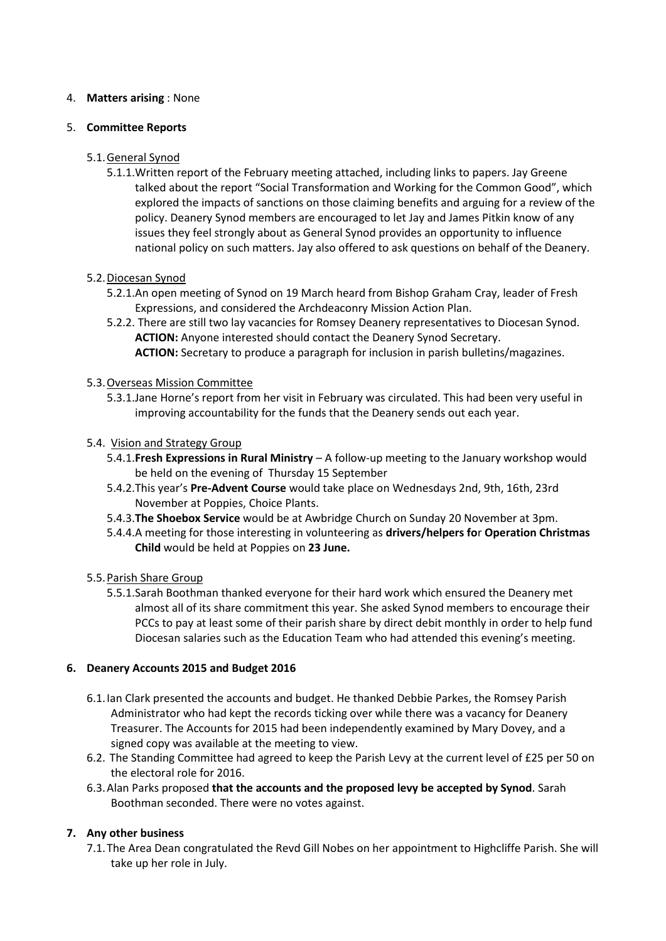## 4. **Matters arising** : None

### 5. **Committee Reports**

# 5.1.General Synod

5.1.1.Written report of the February meeting attached, including links to papers. Jay Greene talked about the report "Social Transformation and Working for the Common Good", which explored the impacts of sanctions on those claiming benefits and arguing for a review of the policy. Deanery Synod members are encouraged to let Jay and James Pitkin know of any issues they feel strongly about as General Synod provides an opportunity to influence national policy on such matters. Jay also offered to ask questions on behalf of the Deanery.

## 5.2.Diocesan Synod

- 5.2.1.An open meeting of Synod on 19 March heard from Bishop Graham Cray, leader of Fresh Expressions, and considered the Archdeaconry Mission Action Plan.
- 5.2.2. There are still two lay vacancies for Romsey Deanery representatives to Diocesan Synod. **ACTION:** Anyone interested should contact the Deanery Synod Secretary. **ACTION:** Secretary to produce a paragraph for inclusion in parish bulletins/magazines.

## 5.3.Overseas Mission Committee

5.3.1.Jane Horne's report from her visit in February was circulated. This had been very useful in improving accountability for the funds that the Deanery sends out each year.

## 5.4. Vision and Strategy Group

- 5.4.1.**Fresh Expressions in Rural Ministry** A follow-up meeting to the January workshop would be held on the evening of Thursday 15 September
- 5.4.2.This year's **Pre-Advent Course** would take place on Wednesdays 2nd, 9th, 16th, 23rd November at Poppies, Choice Plants.
- 5.4.3.**The Shoebox Service** would be at Awbridge Church on Sunday 20 November at 3pm.
- 5.4.4.A meeting for those interesting in volunteering as **drivers/helpers fo**r **Operation Christmas Child** would be held at Poppies on **23 June.**

#### 5.5.Parish Share Group

5.5.1.Sarah Boothman thanked everyone for their hard work which ensured the Deanery met almost all of its share commitment this year. She asked Synod members to encourage their PCCs to pay at least some of their parish share by direct debit monthly in order to help fund Diocesan salaries such as the Education Team who had attended this evening's meeting.

#### **6. Deanery Accounts 2015 and Budget 2016**

- 6.1.Ian Clark presented the accounts and budget. He thanked Debbie Parkes, the Romsey Parish Administrator who had kept the records ticking over while there was a vacancy for Deanery Treasurer. The Accounts for 2015 had been independently examined by Mary Dovey, and a signed copy was available at the meeting to view.
- 6.2. The Standing Committee had agreed to keep the Parish Levy at the current level of £25 per 50 on the electoral role for 2016.
- 6.3.Alan Parks proposed **that the accounts and the proposed levy be accepted by Synod**. Sarah Boothman seconded. There were no votes against.

# **7. Any other business**

7.1.The Area Dean congratulated the Revd Gill Nobes on her appointment to Highcliffe Parish. She will take up her role in July.